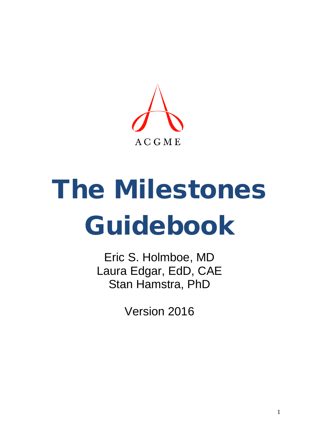

# The Milestones Guidebook

Eric S. Holmboe, MD Laura Edgar, EdD, CAE Stan Hamstra, PhD

Version 2016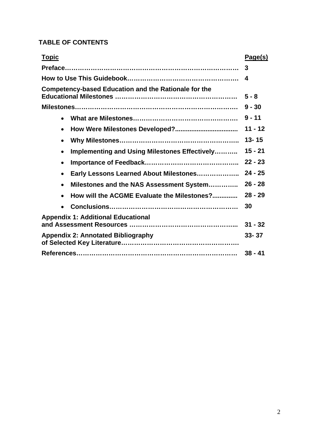# **TABLE OF CONTENTS**

| <u>Topic</u>                                                | Page(s)   |  |
|-------------------------------------------------------------|-----------|--|
|                                                             | 3         |  |
|                                                             | 4         |  |
| <b>Competency-based Education and the Rationale for the</b> | $5 - 8$   |  |
|                                                             | $9 - 30$  |  |
|                                                             | $9 - 11$  |  |
| $\bullet$                                                   | $11 - 12$ |  |
| $\bullet$                                                   | $13 - 15$ |  |
| Implementing and Using Milestones Effectively<br>$\bullet$  | $15 - 21$ |  |
| ٠                                                           | $22 - 23$ |  |
| Early Lessons Learned About Milestones<br>$\bullet$         | $24 - 25$ |  |
| Milestones and the NAS Assessment System                    | $26 - 28$ |  |
| How will the ACGME Evaluate the Milestones?                 | $28 - 29$ |  |
|                                                             | 30        |  |
| <b>Appendix 1: Additional Educational</b>                   | $31 - 32$ |  |
| <b>Appendix 2: Annotated Bibliography</b>                   |           |  |
|                                                             | $38 - 41$ |  |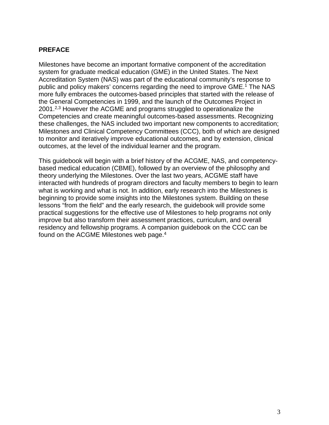# **PREFACE**

Milestones have become an important formative component of the accreditation system for graduate medical education (GME) in the United States. The Next Accreditation System (NAS) was part of the educational community's response to public and policy makers' concerns regarding the need to improve GME.1 The NAS more fully embraces the outcomes-based principles that started with the release of the General Competencies in 1999, and the launch of the Outcomes Project in 2001.<sup>2,3</sup> However the ACGME and programs struggled to operationalize the Competencies and create meaningful outcomes-based assessments. Recognizing these challenges, the NAS included two important new components to accreditation; Milestones and Clinical Competency Committees (CCC), both of which are designed to monitor and iteratively improve educational outcomes, and by extension, clinical outcomes, at the level of the individual learner and the program.

This guidebook will begin with a brief history of the ACGME, NAS, and competencybased medical education (CBME), followed by an overview of the philosophy and theory underlying the Milestones. Over the last two years, ACGME staff have interacted with hundreds of program directors and faculty members to begin to learn what is working and what is not. In addition, early research into the Milestones is beginning to provide some insights into the Milestones system. Building on these lessons "from the field" and the early research, the guidebook will provide some practical suggestions for the effective use of Milestones to help programs not only improve but also transform their assessment practices, curriculum, and overall residency and fellowship programs. A companion guidebook on the CCC can be found on the ACGME Milestones web page.4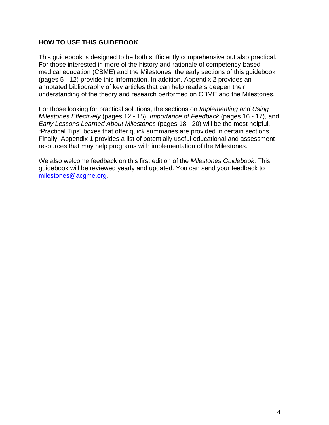## **HOW TO USE THIS GUIDEBOOK**

This guidebook is designed to be both sufficiently comprehensive but also practical. For those interested in more of the history and rationale of competency-based medical education (CBME) and the Milestones, the early sections of this guidebook (pages 5 - 12) provide this information. In addition, Appendix 2 provides an annotated bibliography of key articles that can help readers deepen their understanding of the theory and research performed on CBME and the Milestones.

For those looking for practical solutions, the sections on *Implementing and Using Milestones Effectively* (pages 12 - 15), *Importance of Feedback* (pages 16 - 17), and *Early Lessons Learned About Milestones* (pages 18 - 20) will be the most helpful. "Practical Tips" boxes that offer quick summaries are provided in certain sections. Finally, Appendix 1 provides a list of potentially useful educational and assessment resources that may help programs with implementation of the Milestones.

We also welcome feedback on this first edition of the *Milestones Guidebook*. This guidebook will be reviewed yearly and updated. You can send your feedback to [milestones@acgme.org.](mailto:milestones@acgme.org)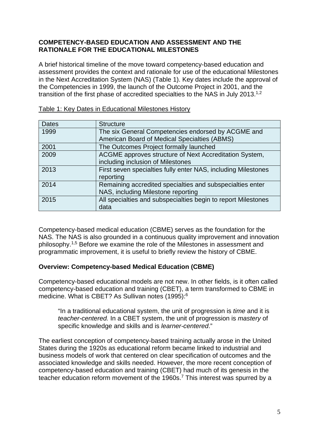## **COMPETENCY-BASED EDUCATION AND ASSESSMENT AND THE RATIONALE FOR THE EDUCATIONAL MILESTONES**

A brief historical timeline of the move toward competency-based education and assessment provides the context and rationale for use of the educational Milestones in the Next Accreditation System (NAS) (Table 1). Key dates include the approval of the Competencies in 1999, the launch of the Outcome Project in 2001, and the transition of the first phase of accredited specialties to the NAS in July 2013.<sup>1,2</sup>

| Dates | <b>Structure</b>                                                                                   |
|-------|----------------------------------------------------------------------------------------------------|
| 1999  | The six General Competencies endorsed by ACGME and<br>American Board of Medical Specialties (ABMS) |
| 2001  | The Outcomes Project formally launched                                                             |
| 2009  | ACGME approves structure of Next Accreditation System,<br>including inclusion of Milestones        |
| 2013  | First seven specialties fully enter NAS, including Milestones<br>reporting                         |
| 2014  | Remaining accredited specialties and subspecialties enter<br>NAS, including Milestone reporting    |
| 2015  | All specialties and subspecialties begin to report Milestones<br>data                              |

|--|

Competency-based medical education (CBME) serves as the foundation for the NAS. The NAS is also grounded in a continuous quality improvement and innovation philosophy. 1,5 Before we examine the role of the Milestones in assessment and programmatic improvement, it is useful to briefly review the history of CBME.

# **Overview: Competency-based Medical Education (CBME)**

Competency-based educational models are not new. In other fields, is it often called competency-based education and training (CBET), a term transformed to CBME in medicine. What is CBET? As Sullivan notes (1995):<sup>6</sup>

"In a traditional educational system, the unit of progression is *time* and it is *teacher-centered.* In a CBET system, the unit of progression is *mastery* of specific knowledge and skills and is *learner-centered*."

The earliest conception of competency-based training actually arose in the United States during the 1920s as educational reform became linked to industrial and business models of work that centered on clear specification of outcomes and the associated knowledge and skills needed. However, the more recent conception of competency-based education and training (CBET) had much of its genesis in the teacher education reform movement of the 1960s. <sup>7</sup> This interest was spurred by a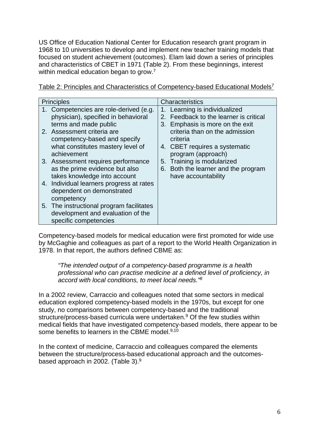US Office of Education National Center for Education research grant program in 1968 to 10 universities to develop and implement new teacher training models that focused on student achievement (outcomes). Elam laid down a series of principles and characteristics of CBET in 1971 (Table 2). From these beginnings, interest within medical education began to grow.<sup>7</sup>

Table 2: Principles and Characteristics of Competency-based Educational Models<sup>7</sup>

| <b>Principles</b>                                                                                                                                                    | Characteristics                                                                                                                                          |
|----------------------------------------------------------------------------------------------------------------------------------------------------------------------|----------------------------------------------------------------------------------------------------------------------------------------------------------|
| 1. Competencies are role-derived (e.g.<br>physician), specified in behavioral<br>terms and made public<br>2. Assessment criteria are<br>competency-based and specify | 1. Learning is individualized<br>2. Feedback to the learner is critical<br>3. Emphasis is more on the exit<br>criteria than on the admission<br>criteria |
| what constitutes mastery level of<br>achievement<br>3. Assessment requires performance<br>as the prime evidence but also                                             | 4. CBET requires a systematic<br>program (approach)<br>5. Training is modularized<br>6. Both the learner and the program                                 |
| takes knowledge into account<br>4. Individual learners progress at rates<br>dependent on demonstrated<br>competency                                                  | have accountability                                                                                                                                      |
| 5. The instructional program facilitates<br>development and evaluation of the<br>specific competencies                                                               |                                                                                                                                                          |

Competency-based models for medical education were first promoted for wide use by McGaghie and colleagues as part of a report to the World Health Organization in 1978. In that report, the authors defined CBME as:

*"The intended output of a competency-based programme is a health professional who can practise medicine at a defined level of proficiency, in accord with local conditions, to meet local needs."8*

In a 2002 review, Carraccio and colleagues noted that some sectors in medical education explored competency-based models in the 1970s, but except for one study, no comparisons between competency-based and the traditional structure/process-based curricula were undertaken. <sup>9</sup> Of the few studies within medical fields that have investigated competency-based models, there appear to be some benefits to learners in the CBME model.<sup>9,10</sup>

In the context of medicine, Carraccio and colleagues compared the elements between the structure/process-based educational approach and the outcomesbased approach in 2002. (Table 3).9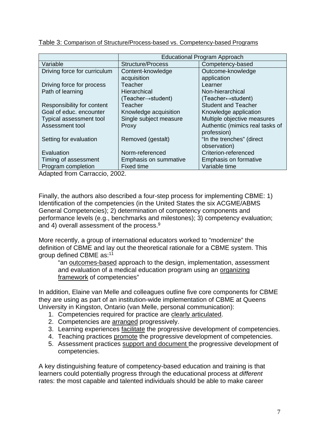|                              | <b>Educational Program Approach</b> |                                     |  |
|------------------------------|-------------------------------------|-------------------------------------|--|
| Variable                     | <b>Structure/Process</b>            | Competency-based                    |  |
| Driving force for curriculum | Content-knowledge                   | Outcome-knowledge                   |  |
|                              | acquisition                         | application                         |  |
| Driving force for process    | Teacher                             | Learner                             |  |
| Path of learning             | Hierarchical                        | Non-hierarchical                    |  |
|                              | $(Teacher \rightarrow student)$     | $(Teacher \leftrightarrow student)$ |  |
| Responsibility for content   | Teacher                             | <b>Student and Teacher</b>          |  |
| Goal of educ. encounter      | Knowledge acquisition               | Knowledge application               |  |
| Typical assessment tool      | Single subject measure              | Multiple objective measures         |  |
| Assessment tool              | Proxy                               | Authentic (mimics real tasks of     |  |
|                              |                                     | profession)                         |  |
| Setting for evaluation       | Removed (gestalt)                   | "In the trenches" (direct           |  |
|                              |                                     | observation)                        |  |
| Evaluation                   | Norm-referenced                     | Criterion-referenced                |  |
| Timing of assessment         | Emphasis on summative               | Emphasis on formative               |  |
| Program completion           | Fixed time                          | Variable time                       |  |

Table 3: Comparison of Structure/Process-based vs. Competency-based Programs

Adapted from Carraccio, 2002.

Finally, the authors also described a four-step process for implementing CBME: 1) Identification of the competencies (in the United States the six ACGME/ABMS General Competencies); 2) determination of competency components and performance levels (e.g., benchmarks and milestones); 3) competency evaluation; and 4) overall assessment of the process.<sup>9</sup>

More recently, a group of international educators worked to "modernize" the definition of CBME and lay out the theoretical rationale for a CBME system. This group defined CBME as:<sup>11</sup>

"an outcomes-based approach to the design, implementation, assessment and evaluation of a medical education program using an organizing framework of competencies"

In addition, Elaine van Melle and colleagues outline five core components for CBME they are using as part of an institution-wide implementation of CBME at Queens University in Kingston, Ontario (van Melle, personal communication):

- 1. Competencies required for practice are clearly articulated.
- 2. Competencies are arranged progressively.
- 3. Learning experiences facilitate the progressive development of competencies.
- 4. Teaching practices promote the progressive development of competencies.
- 5. Assessment practices support and document the progressive development of competencies.

A key distinguishing feature of competency-based education and training is that learners could potentially progress through the educational process at *different* rates: the most capable and talented individuals should be able to make career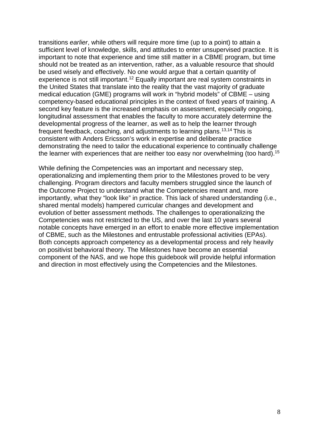transitions *earlier*, while others will require more time (up to a point) to attain a sufficient level of knowledge, skills, and attitudes to enter unsupervised practice. It is important to note that experience and time still matter in a CBME program, but time should not be treated as an intervention, rather, as a valuable resource that should be used wisely and effectively. No one would argue that a certain quantity of experience is not still important.<sup>12</sup> Equally important are real system constraints in the United States that translate into the reality that the vast majority of graduate medical education (GME) programs will work in "hybrid models" of CBME – using competency-based educational principles in the context of fixed years of training. A second key feature is the increased emphasis on assessment, especially ongoing, longitudinal assessment that enables the faculty to more accurately determine the developmental progress of the learner, as well as to help the learner through frequent feedback, coaching, and adjustments to learning plans.<sup>13,14</sup> This is consistent with Anders Ericsson's work in expertise and deliberate practice demonstrating the need to tailor the educational experience to continually challenge the learner with experiences that are neither too easy nor overwhelming (too hard).<sup>15</sup>

While defining the Competencies was an important and necessary step, operationalizing and implementing them prior to the Milestones proved to be very challenging. Program directors and faculty members struggled since the launch of the Outcome Project to understand what the Competencies meant and, more importantly, what they "look like" in practice. This lack of shared understanding (i.e., shared mental models) hampered curricular changes and development and evolution of better assessment methods. The challenges to operationalizing the Competencies was not restricted to the US, and over the last 10 years several notable concepts have emerged in an effort to enable more effective implementation of CBME, such as the Milestones and entrustable professional activities (EPAs). Both concepts approach competency as a developmental process and rely heavily on positivist behavioral theory. The Milestones have become an essential component of the NAS, and we hope this guidebook will provide helpful information and direction in most effectively using the Competencies and the Milestones.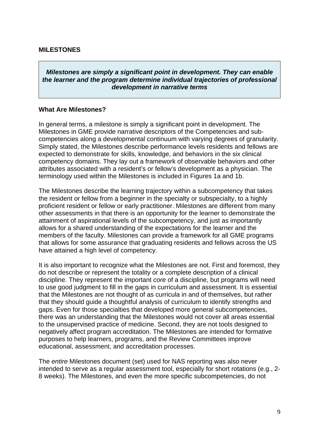## **MILESTONES**

*Milestones are simply a significant point in development. They can enable the learner and the program determine individual trajectories of professional development in narrative terms*

#### **What Are Milestones?**

In general terms, a milestone is simply a significant point in development. The Milestones in GME provide narrative descriptors of the Competencies and subcompetencies along a developmental continuum with varying degrees of granularity. Simply stated, the Milestones describe performance levels residents and fellows are expected to demonstrate for skills, knowledge, and behaviors in the six clinical competency domains. They lay out a framework of observable behaviors and other attributes associated with a resident's or fellow's development as a physician. The terminology used within the Milestones is included in Figures 1a and 1b.

The Milestones describe the learning trajectory within a subcompetency that takes the resident or fellow from a beginner in the specialty or subspecialty, to a highly proficient resident or fellow or early practitioner. Milestones are different from many other assessments in that there is an opportunity for the learner to demonstrate the attainment of aspirational levels of the subcompetency, and just as importantly allows for a shared understanding of the expectations for the learner and the members of the faculty. Milestones can provide a framework for all GME programs that allows for some assurance that graduating residents and fellows across the US have attained a high level of competency.

It is also important to recognize what the Milestones are not. First and foremost, they do not describe or represent the totality or a complete description of a clinical discipline. They represent the important *core* of a discipline, but programs will need to use good judgment to fill in the gaps in curriculum and assessment. It is essential that the Milestones are not thought of as curricula in and of themselves, but rather that they should guide a thoughtful analysis of curriculum to identify strengths and gaps. Even for those specialties that developed more general subcompetencies, there was an understanding that the Milestones would not cover all areas essential to the unsupervised practice of medicine. Second, they are not tools designed to negatively affect program accreditation. The Milestones are intended for formative purposes to help learners, programs, and the Review Committees improve educational, assessment, and accreditation processes.

The *entire* Milestones document (set) used for NAS reporting was also never intended to serve as a regular assessment tool, especially for short rotations (e.g., 2- 8 weeks). The Milestones, and even the more specific subcompetencies, do not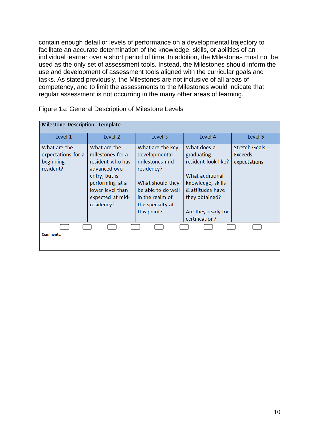contain enough detail or levels of performance on a developmental trajectory to facilitate an accurate determination of the knowledge, skills, or abilities of an individual learner over a short period of time. In addition, the Milestones must not be used as the only set of assessment tools. Instead, the Milestones should inform the use and development of assessment tools aligned with the curricular goals and tasks. As stated previously, the Milestones are not inclusive of all areas of competency, and to limit the assessments to the Milestones would indicate that regular assessment is not occurring in the many other areas of learning.

| Milestone Description: Template                              |                                                                                                                                                                 |                                                                                                                                                                    |                                                                                                                                                                        |                                                  |
|--------------------------------------------------------------|-----------------------------------------------------------------------------------------------------------------------------------------------------------------|--------------------------------------------------------------------------------------------------------------------------------------------------------------------|------------------------------------------------------------------------------------------------------------------------------------------------------------------------|--------------------------------------------------|
| Level 1                                                      | Level 2                                                                                                                                                         | Level 3                                                                                                                                                            | Level 4                                                                                                                                                                | Level 5                                          |
| What are the<br>expectations for a<br>beginning<br>resident? | What are the<br>milestones for a<br>resident who has<br>advanced over<br>entry, but is<br>performing at a<br>lower level than<br>expected at mid-<br>residency? | What are the key<br>developmental<br>milestones mid-<br>residency?<br>What should they<br>be able to do well<br>in the realm of<br>the specialty at<br>this point? | What does a<br>graduating<br>resident look like?<br>What additional<br>knowledge, skills<br>& attitudes have<br>they obtained?<br>Are they ready for<br>certification? | Stretch Goals-<br><b>Exceeds</b><br>expectations |
|                                                              |                                                                                                                                                                 |                                                                                                                                                                    |                                                                                                                                                                        |                                                  |
| <b>Comments:</b>                                             |                                                                                                                                                                 |                                                                                                                                                                    |                                                                                                                                                                        |                                                  |

Figure 1a: General Description of Milestone Levels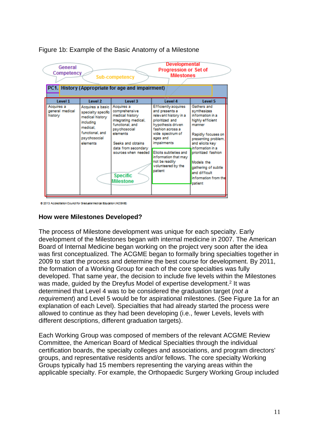|                       | <b>Developmental</b><br>General<br><b>Progression or Set of</b><br>Competency<br><b>Milestones</b><br>Sub-competency<br>PC1. History (Appropriate for age and impairment) |                                                                                                                                   |                                                                                                                                                                                                                                  |                                                                                                                                                                                                                                                                                        |                                                                                                                                                                                                                                                                                  |
|-----------------------|---------------------------------------------------------------------------------------------------------------------------------------------------------------------------|-----------------------------------------------------------------------------------------------------------------------------------|----------------------------------------------------------------------------------------------------------------------------------------------------------------------------------------------------------------------------------|----------------------------------------------------------------------------------------------------------------------------------------------------------------------------------------------------------------------------------------------------------------------------------------|----------------------------------------------------------------------------------------------------------------------------------------------------------------------------------------------------------------------------------------------------------------------------------|
|                       | Level 1                                                                                                                                                                   | Level 2                                                                                                                           | Level 3                                                                                                                                                                                                                          | Level 4                                                                                                                                                                                                                                                                                | Level 5                                                                                                                                                                                                                                                                          |
| Acquires a<br>history | general medical                                                                                                                                                           | Acquires a basic<br>specialty specific<br>medical history<br>includina<br>medical.<br>functional, and<br>psychosocial<br>elements | Acquires a<br>comprehensive<br>medical history<br>integrating medical,<br>functional, and<br>psychosocial<br>elements<br>Seeks and obtains.<br>data from secondary<br>sources when needed<br><b>Specific</b><br><b>Milestone</b> | <b>Efficiently acquires</b><br>and presents a<br>relevant history in a<br>prioritized and<br>hypothesis driven<br>fashion across a<br>wide spectrum of<br>ages and<br>impairments<br>Elicits subtleties and<br>information that may<br>not be readily<br>volunteered by the<br>patient | Gathers and<br>synthesizes<br>information in a<br>highly efficient<br>manner<br>Rapidly focuses on<br>presenting problem.<br>and elicits key<br>information in a<br>prioritized fashion<br>Models the<br>gathering of subtle<br>and difficult<br>information from the<br>patient |

Figure 1b: Example of the Basic Anatomy of a Milestone

@ 2013 Accreditation Council for Graduate Medical Education (ACGME)

## **How were Milestones Developed?**

The process of Milestone development was unique for each specialty. Early development of the Milestones began with internal medicine in 2007. The American Board of Internal Medicine began working on the project very soon after the idea was first conceptualized. The ACGME began to formally bring specialties together in 2009 to start the process and determine the best course for development. By 2011, the formation of a Working Group for each of the core specialties was fully developed. That same year, the decision to include five levels within the Milestones was made, guided by the Dreyfus Model of expertise development. <sup>2</sup> It was determined that Level 4 was to be considered the graduation target (*not a requirement*) and Level 5 would be for aspirational milestones. (See Figure 1a for an explanation of each Level). Specialties that had already started the process were allowed to continue as they had been developing (i.e., fewer Levels, levels with different descriptions, different graduation targets).

Each Working Group was composed of members of the relevant ACGME Review Committee, the American Board of Medical Specialties through the individual certification boards, the specialty colleges and associations, and program directors' groups, and representative residents and/or fellows. The core specialty Working Groups typically had 15 members representing the varying areas within the applicable specialty. For example, the Orthopaedic Surgery Working Group included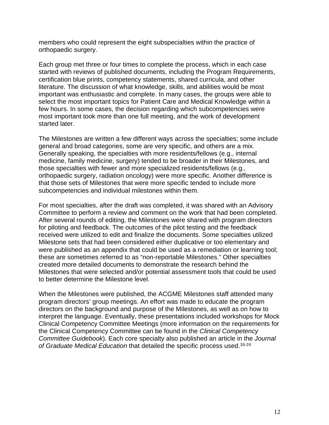members who could represent the eight subspecialties within the practice of orthopaedic surgery.

Each group met three or four times to complete the process, which in each case started with reviews of published documents, including the Program Requirements, certification blue prints, competency statements, shared curricula, and other literature. The discussion of what knowledge, skills, and abilities would be most important was enthusiastic and complete. In many cases, the groups were able to select the most important topics for Patient Care and Medical Knowledge within a few hours. In some cases, the decision regarding which subcompetencies were most important took more than one full meeting, and the work of development started later.

The Milestones are written a few different ways across the specialties; some include general and broad categories, some are very specific, and others are a mix. Generally speaking, the specialties with more residents/fellows (e.g., internal medicine, family medicine, surgery) tended to be broader in their Milestones, and those specialties with fewer and more specialized residents/fellows (e.g., orthopaedic surgery, radiation oncology) were more specific. Another difference is that those sets of Milestones that were more specific tended to include more subcompetencies and individual milestones within them.

For most specialties, after the draft was completed, it was shared with an Advisory Committee to perform a review and comment on the work that had been completed. After several rounds of editing, the Milestones were shared with program directors for piloting and feedback. The outcomes of the pilot testing and the feedback received were utilized to edit and finalize the documents. Some specialties utilized Milestone sets that had been considered either duplicative or too elementary and were published as an appendix that could be used as a remediation or learning tool; these are sometimes referred to as "non-reportable Milestones." Other specialties created more detailed documents to demonstrate the research behind the Milestones that were selected and/or potential assessment tools that could be used to better determine the Milestone level.

When the Milestones were published, the ACGME Milestones staff attended many program directors' group meetings. An effort was made to educate the program directors on the background and purpose of the Milestones, as well as on how to interpret the language. Eventually, these presentations included workshops for Mock Clinical Competency Committee Meetings (more information on the requirements for the Clinical Competency Committee can be found in the *Clinical Competency Committee Guidebook*). Each core specialty also published an article in the *Journal of Graduate Medical Education* that detailed the specific process used. 16-24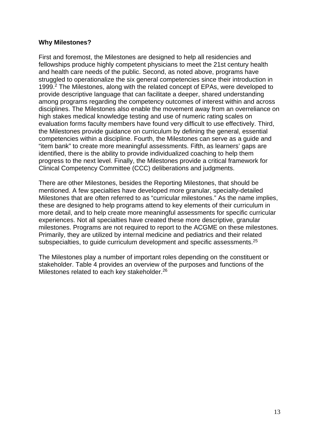## **Why Milestones?**

First and foremost, the Milestones are designed to help all residencies and fellowships produce highly competent physicians to meet the 21st century health and health care needs of the public. Second, as noted above, programs have struggled to operationalize the six general competencies since their introduction in 1999.2 The Milestones, along with the related concept of EPAs, were developed to provide descriptive language that can facilitate a deeper, shared understanding among programs regarding the competency outcomes of interest within and across disciplines. The Milestones also enable the movement away from an overreliance on high stakes medical knowledge testing and use of numeric rating scales on evaluation forms faculty members have found very difficult to use effectively. Third, the Milestones provide guidance on curriculum by defining the general, essential competencies within a discipline. Fourth, the Milestones can serve as a guide and "item bank" to create more meaningful assessments. Fifth, as learners' gaps are identified, there is the ability to provide individualized coaching to help them progress to the next level. Finally, the Milestones provide a critical framework for Clinical Competency Committee (CCC) deliberations and judgments.

There are other Milestones, besides the Reporting Milestones, that should be mentioned. A few specialties have developed more granular, specialty-detailed Milestones that are often referred to as "curricular milestones." As the name implies, these are designed to help programs attend to key elements of their curriculum in more detail, and to help create more meaningful assessments for specific curricular experiences. Not all specialties have created these more descriptive, granular milestones. Programs are not required to report to the ACGME on these milestones. Primarily, they are utilized by internal medicine and pediatrics and their related subspecialties, to guide curriculum development and specific assessments.<sup>25</sup>

The Milestones play a number of important roles depending on the constituent or stakeholder. Table 4 provides an overview of the purposes and functions of the Milestones related to each key stakeholder.<sup>26</sup>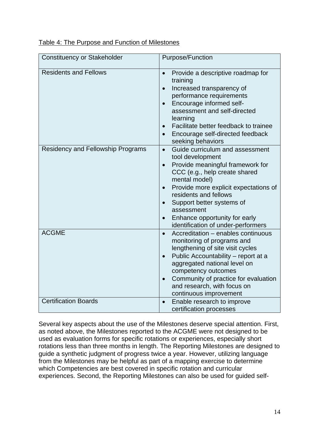| Table 4: The Purpose and Function of Milestones |
|-------------------------------------------------|
|-------------------------------------------------|

| <b>Constituency or Stakeholder</b> | <b>Purpose/Function</b>                                                                                                                                                                                                                                                                                                                    |
|------------------------------------|--------------------------------------------------------------------------------------------------------------------------------------------------------------------------------------------------------------------------------------------------------------------------------------------------------------------------------------------|
| <b>Residents and Fellows</b>       | Provide a descriptive roadmap for<br>training<br>Increased transparency of<br>$\bullet$<br>performance requirements<br>Encourage informed self-<br>assessment and self-directed<br>learning<br>Facilitate better feedback to trainee<br>$\bullet$<br>Encourage self-directed feedback<br>$\bullet$<br>seeking behaviors                    |
| Residency and Fellowship Programs  | Guide curriculum and assessment<br>tool development<br>Provide meaningful framework for<br>$\bullet$<br>CCC (e.g., help create shared<br>mental model)<br>Provide more explicit expectations of<br>residents and fellows<br>Support better systems of<br>assessment<br>Enhance opportunity for early<br>identification of under-performers |
| <b>ACGME</b>                       | Accreditation - enables continuous<br>monitoring of programs and<br>lengthening of site visit cycles<br>Public Accountability - report at a<br>$\bullet$<br>aggregated national level on<br>competency outcomes<br>Community of practice for evaluation<br>$\bullet$<br>and research, with focus on<br>continuous improvement              |
| <b>Certification Boards</b>        | Enable research to improve<br>$\bullet$<br>certification processes                                                                                                                                                                                                                                                                         |

Several key aspects about the use of the Milestones deserve special attention. First, as noted above, the Milestones reported to the ACGME were not designed to be used as evaluation forms for specific rotations or experiences, especially short rotations less than three months in length. The Reporting Milestones are designed to guide a synthetic judgment of progress twice a year. However, utilizing language from the Milestones may be helpful as part of a mapping exercise to determine which Competencies are best covered in specific rotation and curricular experiences. Second, the Reporting Milestones can also be used for guided self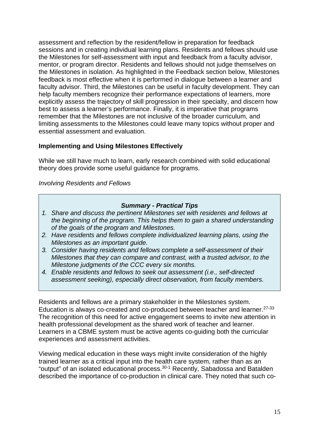assessment and reflection by the resident/fellow in preparation for feedback sessions and in creating individual learning plans. Residents and fellows should use the Milestones for self-assessment with input and feedback from a faculty advisor, mentor, or program director. Residents and fellows should not judge themselves on the Milestones in isolation. As highlighted in the Feedback section below, Milestones feedback is most effective when it is performed in dialogue between a learner and faculty advisor. Third, the Milestones can be useful in faculty development. They can help faculty members recognize their performance expectations of learners, more explicitly assess the trajectory of skill progression in their specialty, and discern how best to assess a learner's performance. Finally, it is imperative that programs remember that the Milestones are not inclusive of the broader curriculum, and limiting assessments to the Milestones could leave many topics without proper and essential assessment and evaluation.

# **Implementing and Using Milestones Effectively**

While we still have much to learn, early research combined with solid educational theory does provide some useful guidance for programs.

*Involving Residents and Fellows*

## *Summary - Practical Tips*

- *1. Share and discuss the pertinent Milestones set with residents and fellows at the beginning of the program. This helps them to gain a shared understanding of the goals of the program and Milestones.*
- *2. Have residents and fellows complete individualized learning plans, using the Milestones as an important guide.*
- *3. Consider having residents and fellows complete a self-assessment of their Milestones that they can compare and contrast, with a trusted advisor, to the Milestone judgments of the CCC every six months.*
- *4. Enable residents and fellows to seek out assessment (i.e., self-directed assessment seeking), especially direct observation, from faculty members.*

Residents and fellows are a primary stakeholder in the Milestones system. Education is always co-created and co-produced between teacher and learner.<sup>27-33</sup> The recognition of this need for active engagement seems to invite new attention in health professional development as the shared work of teacher and learner. Learners in a CBME system must be active agents co-guiding both the curricular experiences and assessment activities.

Viewing medical education in these ways might invite consideration of the highly trained learner as a critical input into the health care system, rather than as an "output" of an isolated educational process.30-1 Recently, Sabadossa and Batalden described the importance of co-production in clinical care. They noted that such co-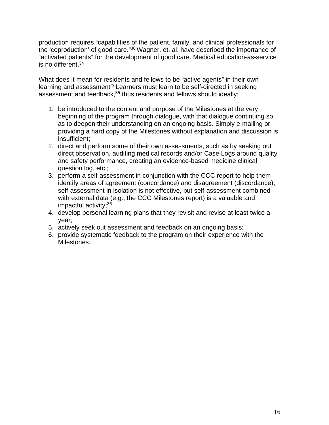production requires "capabilities of the patient, family, and clinical professionals for the 'coproduction' of good care."30 Wagner, et. al. have described the importance of "activated patients" for the development of good care. Medical education-as-service is no different.34

What does it mean for residents and fellows to be "active agents" in their own learning and assessment? Learners must learn to be self-directed in seeking assessment and feedback, <sup>35</sup> thus residents and fellows should ideally:

- 1. be introduced to the content and purpose of the Milestones at the very beginning of the program through dialogue, with that dialogue continuing so as to deepen their understanding on an ongoing basis. Simply e-mailing or providing a hard copy of the Milestones without explanation and discussion is insufficient;
- 2. direct and perform some of their own assessments, such as by seeking out direct observation, auditing medical records and/or Case Logs around quality and safety performance, creating an evidence-based medicine clinical question log, etc.;
- 3. perform a self-assessment in conjunction with the CCC report to help them identify areas of agreement (concordance) and disagreement (discordance); self-assessment in isolation is not effective, but self-assessment combined with external data (e.g., the CCC Milestones report) is a valuable and impactful activity; 36
- 4. develop personal learning plans that they revisit and revise at least twice a year;
- 5. actively seek out assessment and feedback on an ongoing basis;
- 6. provide systematic feedback to the program on their experience with the Milestones.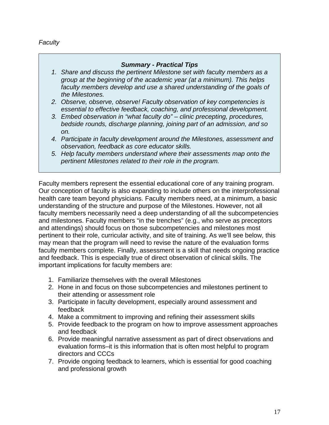## *Faculty*

# *Summary - Practical Tips*

- *1. Share and discuss the pertinent Milestone set with faculty members as a group at the beginning of the academic year (at a minimum). This helps faculty members develop and use a shared understanding of the goals of the Milestones.*
- *2. Observe, observe, observe! Faculty observation of key competencies is essential to effective feedback, coaching, and professional development.*
- *3. Embed observation in "what faculty do" – clinic precepting, procedures, bedside rounds, discharge planning, joining part of an admission, and so on.*
- *4. Participate in faculty development around the Milestones, assessment and observation, feedback as core educator skills.*
- *5. Help faculty members understand where their assessments map onto the pertinent Milestones related to their role in the program.*

Faculty members represent the essential educational core of any training program. Our conception of faculty is also expanding to include others on the interprofessional health care team beyond physicians. Faculty members need, at a minimum, a basic understanding of the structure and purpose of the Milestones. However, not all faculty members necessarily need a deep understanding of all the subcompetencies and milestones. Faculty members "in the trenches" (e.g., who serve as preceptors and attendings) should focus on those subcompetencies and milestones most pertinent to their role, curricular activity, and site of training. As we'll see below, this may mean that the program will need to revise the nature of the evaluation forms faculty members complete. Finally, assessment is a skill that needs ongoing practice and feedback. This is especially true of direct observation of clinical skills. The important implications for faculty members are:

- 1. Familiarize themselves with the overall Milestones
- 2. Hone in and focus on those subcompetencies and milestones pertinent to their attending or assessment role
- 3. Participate in faculty development, especially around assessment and feedback
- 4. Make a commitment to improving and refining their assessment skills
- 5. Provide feedback to the program on how to improve assessment approaches and feedback
- 6. Provide meaningful narrative assessment as part of direct observations and evaluation forms–it is this information that is often most helpful to program directors and CCCs
- 7. Provide ongoing feedback to learners, which is essential for good coaching and professional growth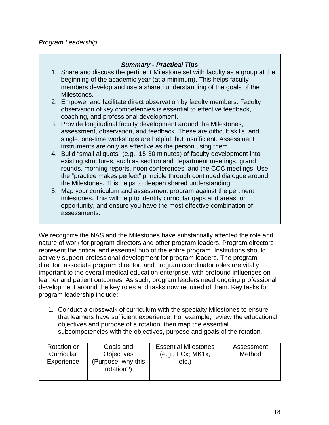## *Program Leadership*

# *Summary - Practical Tips*

- 1. Share and discuss the pertinent Milestone set with faculty as a group at the beginning of the academic year (at a minimum). This helps faculty members develop and use a shared understanding of the goals of the Milestones.
- 2. Empower and facilitate direct observation by faculty members. Faculty observation of key competencies is essential to effective feedback, coaching, and professional development.
- 3. Provide longitudinal faculty development around the Milestones, assessment, observation, and feedback. These are difficult skills, and single, one-time workshops are helpful, but insufficient. Assessment instruments are only as effective as the person using them.
- 4. Build "small aliquots" (e.g., 15-30 minutes) of faculty development into existing structures, such as section and department meetings, grand rounds, morning reports, noon conferences, and the CCC meetings. Use the "practice makes perfect" principle through continued dialogue around the Milestones. This helps to deepen shared understanding.
- 5. Map your curriculum and assessment program against the pertinent milestones. This will help to identify curricular gaps and areas for opportunity, and ensure you have the most effective combination of assessments.

We recognize the NAS and the Milestones have substantially affected the role and nature of work for program directors and other program leaders. Program directors represent the critical and essential hub of the entire program. Institutions should actively support professional development for program leaders. The program director, associate program director, and program coordinator roles are vitally important to the overall medical education enterprise, with profound influences on learner and patient outcomes. As such, program leaders need ongoing professional development around the key roles and tasks now required of them. Key tasks for program leadership include:

1. Conduct a crosswalk of curriculum with the specialty Milestones to ensure that learners have sufficient experience. For example, review the educational objectives and purpose of a rotation, then map the essential subcompetencies with the objectives, purpose and goals of the rotation.

| <b>Rotation or</b> | Goals and          | <b>Essential Milestones</b> | Assessment |
|--------------------|--------------------|-----------------------------|------------|
| Curricular         | <b>Objectives</b>  | (e.g., PCx; MK1x,           | Method     |
| Experience         | (Purpose: why this | $etc.$ )                    |            |
|                    | rotation?)         |                             |            |
|                    |                    |                             |            |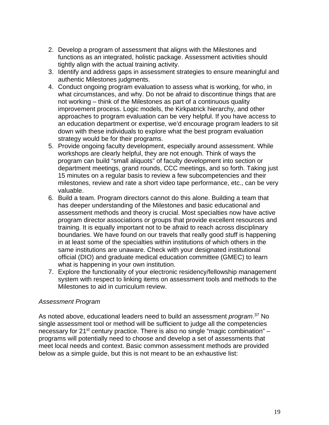- 2. Develop a program of assessment that aligns with the Milestones and functions as an integrated, holistic package. Assessment activities should tightly align with the actual training activity.
- 3. Identify and address gaps in assessment strategies to ensure meaningful and authentic Milestones judgments.
- 4. Conduct ongoing program evaluation to assess what is working, for who, in what circumstances, and why. Do not be afraid to discontinue things that are not working – think of the Milestones as part of a continuous quality improvement process. Logic models, the Kirkpatrick hierarchy, and other approaches to program evaluation can be very helpful. If you have access to an education department or expertise, we'd encourage program leaders to sit down with these individuals to explore what the best program evaluation strategy would be for their programs.
- 5. Provide ongoing faculty development, especially around assessment. While workshops are clearly helpful, they are not enough. Think of ways the program can build "small aliquots" of faculty development into section or department meetings, grand rounds, CCC meetings, and so forth. Taking just 15 minutes on a regular basis to review a few subcompetencies and their milestones, review and rate a short video tape performance, etc., can be very valuable.
- 6. Build a team. Program directors cannot do this alone. Building a team that has deeper understanding of the Milestones and basic educational and assessment methods and theory is crucial. Most specialties now have active program director associations or groups that provide excellent resources and training. It is equally important not to be afraid to reach across disciplinary boundaries. We have found on our travels that really good stuff is happening in at least some of the specialties within institutions of which others in the same institutions are unaware. Check with your designated institutional official (DIO) and graduate medical education committee (GMEC) to learn what is happening in your own institution.
- 7. Explore the functionality of your electronic residency/fellowship management system with respect to linking items on assessment tools and methods to the Milestones to aid in curriculum review.

## *Assessment Program*

As noted above, educational leaders need to build an assessment *program*. <sup>37</sup> No single assessment tool or method will be sufficient to judge all the competencies necessary for  $21^{st}$  century practice. There is also no single "magic combination" – programs will potentially need to choose and develop a set of assessments that meet local needs and context. Basic common assessment methods are provided below as a simple guide, but this is not meant to be an exhaustive list: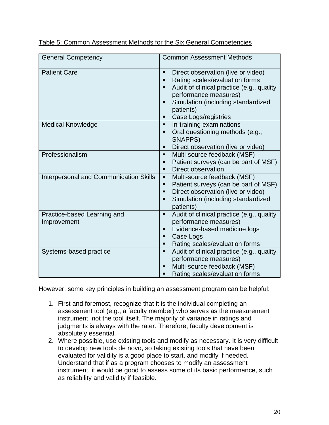| <b>General Competency</b>                     | <b>Common Assessment Methods</b>                                                                                                                                                                                                |
|-----------------------------------------------|---------------------------------------------------------------------------------------------------------------------------------------------------------------------------------------------------------------------------------|
| <b>Patient Care</b>                           | Direct observation (live or video)<br>٠<br>Rating scales/evaluation forms<br>Audit of clinical practice (e.g., quality<br>п<br>performance measures)<br>Simulation (including standardized<br>patients)<br>Case Logs/registries |
| <b>Medical Knowledge</b>                      | In-training examinations<br>Oral questioning methods (e.g.,<br>п<br><b>SNAPPS)</b><br>Direct observation (live or video)<br>п                                                                                                   |
| Professionalism                               | Multi-source feedback (MSF)<br>п<br>Patient surveys (can be part of MSF)<br><b>Direct observation</b><br>п                                                                                                                      |
| <b>Interpersonal and Communication Skills</b> | Multi-source feedback (MSF)<br>٠<br>Patient surveys (can be part of MSF)<br>п<br>Direct observation (live or video)<br>п<br>Simulation (including standardized<br>п<br>patients)                                                |
| Practice-based Learning and<br>Improvement    | Audit of clinical practice (e.g., quality<br>٠<br>performance measures)<br>Evidence-based medicine logs<br>Case Logs<br>Rating scales/evaluation forms                                                                          |
| Systems-based practice                        | Audit of clinical practice (e.g., quality<br>٠<br>performance measures)<br>Multi-source feedback (MSF)<br>Rating scales/evaluation forms                                                                                        |

Table 5: Common Assessment Methods for the Six General Competencies

However, some key principles in building an assessment program can be helpful:

- 1. First and foremost, recognize that it is the individual completing an assessment tool (e.g., a faculty member) who serves as the measurement instrument, not the tool itself. The majority of variance in ratings and judgments is always with the rater. Therefore, faculty development is absolutely essential.
- 2. Where possible, use existing tools and modify as necessary. It is very difficult to develop new tools de novo, so taking existing tools that have been evaluated for validity is a good place to start, and modify if needed. Understand that if as a program chooses to modify an assessment instrument, it would be good to assess some of its basic performance, such as reliability and validity if feasible.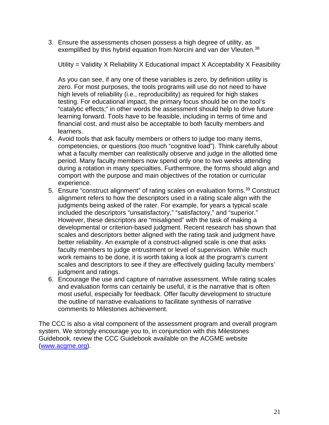3. Ensure the assessments chosen possess a high degree of utility, as exemplified by this hybrid equation from Norcini and van der Vleuten.<sup>38</sup>

Utility = Validity X Reliability X Educational impact X Acceptability X Feasibility

As you can see, if any one of these variables is zero, by definition utility is zero. For most purposes, the tools programs will use do not need to have high levels of reliability (i.e., reproducibility) as required for high stakes testing. For educational impact, the primary focus should be on the tool's "catalytic effects;" in other words the assessment should help to drive future learning forward. Tools have to be feasible, including in terms of time and financial cost, and must also be acceptable to both faculty members and learners.

- 4. Avoid tools that ask faculty members or others to judge too many items, competencies, or questions (too much "cognitive load"). Think carefully about what a faculty member can realistically observe and judge in the allotted time period. Many faculty members now spend only one to two weeks attending during a rotation in many specialties. Furthermore, the forms should align and comport with the purpose and main objectives of the rotation or curricular experience.
- 5. Ensure "construct alignment" of rating scales on evaluation forms.<sup>39</sup> Construct alignment refers to how the descriptors used in a rating scale align with the judgments being asked of the rater. For example, for years a typical scale included the descriptors "unsatisfactory," "satisfactory," and "superior." However, these descriptors are "misaligned" with the task of making a developmental or criterion-based judgment. Recent research has shown that scales and descriptors better aligned with the rating task and judgment have better reliability. An example of a construct-aligned scale is one that asks faculty members to judge entrustment or level of supervision. While much work remains to be done, it is worth taking a look at the program's current scales and descriptors to see if they are effectively guiding faculty members' judgment and ratings.
- 6. Encourage the use and capture of narrative assessment. While rating scales and evaluation forms can certainly be useful, it is the narrative that is often most useful, especially for feedback. Offer faculty development to structure the outline of narrative evaluations to facilitate synthesis of narrative comments to Milestones achievement.

The CCC is also a vital component of the assessment program and overall program system. We strongly encourage you to, in conjunction with this Milestones Guidebook, review the CCC Guidebook available on the ACGME website [\(www.acgme.org\)](http://www.acgme.org/).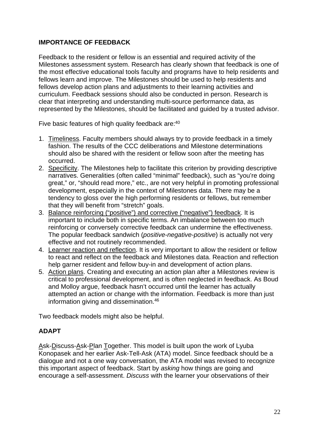# **IMPORTANCE OF FEEDBACK**

Feedback to the resident or fellow is an essential and required activity of the Milestones assessment system. Research has clearly shown that feedback is one of the most effective educational tools faculty and programs have to help residents and fellows learn and improve. The Milestones should be used to help residents and fellows develop action plans and adjustments to their learning activities and curriculum. Feedback sessions should also be conducted in person. Research is clear that interpreting and understanding multi-source performance data, as represented by the Milestones, should be facilitated and guided by a trusted advisor.

Five basic features of high quality feedback are: 40

- 1. Timeliness. Faculty members should always try to provide feedback in a timely fashion. The results of the CCC deliberations and Milestone determinations should also be shared with the resident or fellow soon after the meeting has occurred.
- 2. Specificity. The Milestones help to facilitate this criterion by providing descriptive narratives. Generalities (often called "minimal" feedback), such as "you're doing great," or, "should read more," etc., are not very helpful in promoting professional development, especially in the context of Milestones data. There may be a tendency to gloss over the high performing residents or fellows, but remember that they will benefit from "stretch" goals.
- 3. Balance reinforcing ("positive") and corrective ("negative") feedback. It is important to include both in specific terms. An imbalance between too much reinforcing or conversely corrective feedback can undermine the effectiveness. The popular feedback sandwich (*positive-negative-positive*) is actually not very effective and not routinely recommended.
- 4. Learner reaction and reflection. It is very important to allow the resident or fellow to react and reflect on the feedback and Milestones data. Reaction and reflection help garner resident and fellow buy-in and development of action plans.
- 5. Action plans. Creating and executing an action plan after a Milestones review is critical to professional development, and is often neglected in feedback. As Boud and Molloy argue, feedback hasn't occurred until the learner has actually attempted an action or change with the information. Feedback is more than just information giving and dissemination.46

Two feedback models might also be helpful.

# **ADAPT**

Ask-Discuss-Ask-Plan Together. This model is built upon the work of Lyuba Konopasek and her earlier Ask-Tell-Ask (ATA) model. Since feedback should be a dialogue and not a one way conversation, the ATA model was revised to recognize this important aspect of feedback. Start by *asking* how things are going and encourage a self-assessment. *Discuss* with the learner your observations of their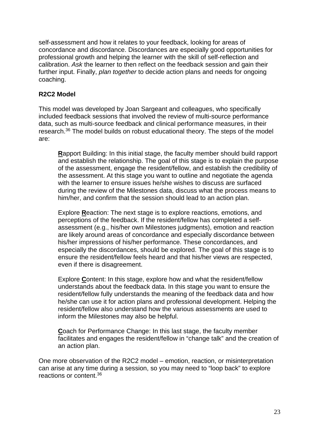self-assessment and how it relates to your feedback, looking for areas of concordance and discordance. Discordances are especially good opportunities for professional growth and helping the learner with the skill of self-reflection and calibration. *Ask* the learner to then reflect on the feedback session and gain their further input. Finally, *plan together* to decide action plans and needs for ongoing coaching.

# **R2C2 Model**

This model was developed by Joan Sargeant and colleagues, who specifically included feedback sessions that involved the review of multi-source performance data, such as multi-source feedback and clinical performance measures, in their research.<sup>36</sup> The model builds on robust educational theory. The steps of the model are:

**R**apport Building: In this initial stage, the faculty member should build rapport and establish the relationship. The goal of this stage is to explain the purpose of the assessment, engage the resident/fellow, and establish the credibility of the assessment. At this stage you want to outline and negotiate the agenda with the learner to ensure issues he/she wishes to discuss are surfaced during the review of the Milestones data, discuss what the process means to him/her, and confirm that the session should lead to an action plan.

Explore **R**eaction: The next stage is to explore reactions, emotions, and perceptions of the feedback. If the resident/fellow has completed a selfassessment (e.g., his/her own Milestones judgments), emotion and reaction are likely around areas of concordance and especially discordance between his/her impressions of his/her performance. These concordances, and especially the discordances, should be explored. The goal of this stage is to ensure the resident/fellow feels heard and that his/her views are respected, even if there is disagreement.

Explore **C**ontent: In this stage, explore how and what the resident/fellow understands about the feedback data. In this stage you want to ensure the resident/fellow fully understands the meaning of the feedback data and how he/she can use it for action plans and professional development. Helping the resident/fellow also understand how the various assessments are used to inform the Milestones may also be helpful.

**C**oach for Performance Change: In this last stage, the faculty member facilitates and engages the resident/fellow in "change talk" and the creation of an action plan.

One more observation of the R2C2 model – emotion, reaction, or misinterpretation can arise at any time during a session, so you may need to "loop back" to explore reactions or content.36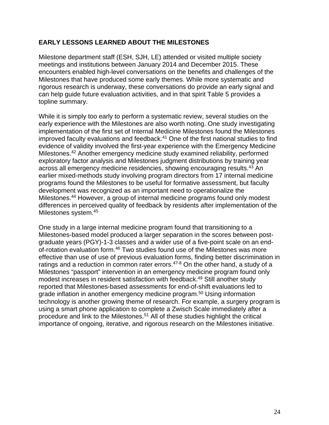# **EARLY LESSONS LEARNED ABOUT THE MILESTONES**

Milestone department staff (ESH, SJH, LE) attended or visited multiple society meetings and institutions between January 2014 and December 2015. These encounters enabled high-level conversations on the benefits and challenges of the Milestones that have produced some early themes. While more systematic and rigorous research is underway, these conversations do provide an early signal and can help guide future evaluation activities, and in that spirit Table 5 provides a topline summary.

While it is simply too early to perform a systematic review, several studies on the early experience with the Milestones are also worth noting. One study investigating implementation of the first set of Internal Medicine Milestones found the Milestones improved faculty evaluations and feedback.<sup>41</sup> One of the first national studies to find evidence of validity involved the first-year experience with the Emergency Medicine Milestones.42 Another emergency medicine study examined reliability, performed exploratory factor analysis and Milestones judgment distributions by training year across all emergency medicine residencies, showing encouraging results.<sup>43</sup> An earlier mixed-methods study involving program directors from 17 internal medicine programs found the Milestones to be useful for formative assessment, but faculty development was recognized as an important need to operationalize the Milestones.44 However, a group of internal medicine programs found only modest differences in perceived quality of feedback by residents after implementation of the Milestones system.45

One study in a large internal medicine program found that transitioning to a Milestones-based model produced a larger separation in the scores between postgraduate years (PGY)-1-3 classes and a wider use of a five-point scale on an endof-rotation evaluation form.<sup>46</sup> Two studies found use of the Milestones was more effective than use of use of previous evaluation forms, finding better discrimination in ratings and a reduction in common rater errors. $47-8$  On the other hand, a study of a Milestones "passport" intervention in an emergency medicine program found only modest increases in resident satisfaction with feedback.<sup>49</sup> Still another study reported that Milestones-based assessments for end-of-shift evaluations led to grade inflation in another emergency medicine program.50 Using information technology is another growing theme of research. For example, a surgery program is using a smart phone application to complete a Zwisch Scale immediately after a procedure and link to the Milestones.51 All of these studies highlight the critical importance of ongoing, iterative, and rigorous research on the Milestones initiative.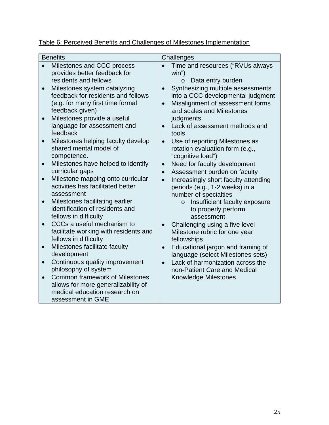| <b>Benefits</b>                                                                                                                                                                                                                                                                                                                                                                                                                                                                                                                                                                                                                                                                                                                                                                                                                                                                                                                                                                                                                                                                                                                                                                                        | Challenges                                                                                                                                                                                                                                                                                                                                                                                                                                                                                                                                                                                                                                                                                                                                                                                                                                                                                |
|--------------------------------------------------------------------------------------------------------------------------------------------------------------------------------------------------------------------------------------------------------------------------------------------------------------------------------------------------------------------------------------------------------------------------------------------------------------------------------------------------------------------------------------------------------------------------------------------------------------------------------------------------------------------------------------------------------------------------------------------------------------------------------------------------------------------------------------------------------------------------------------------------------------------------------------------------------------------------------------------------------------------------------------------------------------------------------------------------------------------------------------------------------------------------------------------------------|-------------------------------------------------------------------------------------------------------------------------------------------------------------------------------------------------------------------------------------------------------------------------------------------------------------------------------------------------------------------------------------------------------------------------------------------------------------------------------------------------------------------------------------------------------------------------------------------------------------------------------------------------------------------------------------------------------------------------------------------------------------------------------------------------------------------------------------------------------------------------------------------|
| Milestones and CCC process<br>provides better feedback for<br>residents and fellows<br>Milestones system catalyzing<br>$\bullet$<br>feedback for residents and fellows<br>(e.g. for many first time formal<br>$\bullet$<br>feedback given)<br>Milestones provide a useful<br>$\bullet$<br>language for assessment and<br>feedback<br>Milestones helping faculty develop<br>$\bullet$<br>$\bullet$<br>shared mental model of<br>competence.<br>Milestones have helped to identify<br>$\bullet$<br>$\bullet$<br>curricular gaps<br>$\bullet$<br>Milestone mapping onto curricular<br>$\bullet$<br>$\bullet$<br>activities has facilitated better<br>assessment<br>Milestones facilitating earlier<br>$\bullet$<br>identification of residents and<br>fellows in difficulty<br>CCCs a useful mechanism to<br>$\bullet$<br>$\bullet$<br>facilitate working with residents and<br>fellows in difficulty<br>Milestones facilitate faculty<br>$\bullet$<br>development<br>Continuous quality improvement<br>$\bullet$<br>$\bullet$<br>philosophy of system<br><b>Common framework of Milestones</b><br>$\bullet$<br>allows for more generalizability of<br>medical education research on<br>assessment in GME | Time and resources ("RVUs always<br>win")<br>Data entry burden<br>$\circ$<br>Synthesizing multiple assessments<br>into a CCC developmental judgment<br>Misalignment of assessment forms<br>and scales and Milestones<br>judgments<br>Lack of assessment methods and<br>tools<br>Use of reporting Milestones as<br>rotation evaluation form (e.g.,<br>"cognitive load")<br>Need for faculty development<br>Assessment burden on faculty<br>Increasingly short faculty attending<br>periods (e.g., 1-2 weeks) in a<br>number of specialties<br>Insufficient faculty exposure<br>$\circ$<br>to properly perform<br>assessment<br>Challenging using a five level<br>Milestone rubric for one year<br>fellowships<br>Educational jargon and framing of<br>language (select Milestones sets)<br>Lack of harmonization across the<br>non-Patient Care and Medical<br><b>Knowledge Milestones</b> |

# Table 6: Perceived Benefits and Challenges of Milestones Implementation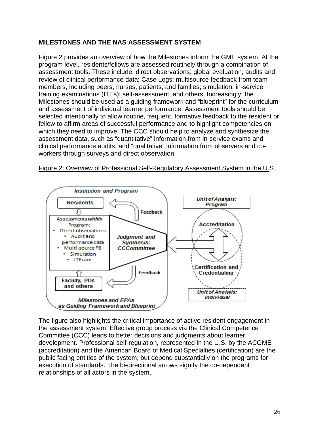# **MILESTONES AND THE NAS ASSESSMENT SYSTEM**

Figure 2 provides an overview of how the Milestones inform the GME system. At the program level, residents/fellows are assessed routinely through a combination of assessment tools. These include: direct observations; global evaluation; audits and review of clinical performance data; Case Logs; multisource feedback from team members, including peers, nurses, patients, and families; simulation; in-service training examinations (ITEs); self-assessment; and others. Increasingly, the Milestones should be used as a guiding framework and "blueprint" for the curriculum and assessment of individual learner performance. Assessment tools should be selected intentionally to allow routine, frequent, formative feedback to the resident or fellow to affirm areas of successful performance and to highlight competencies on which they need to improve. The CCC should help to analyze and synthesize the assessment data, such as "quantitative" information from in-service exams and clinical performance audits, and "qualitative" information from observers and coworkers through surveys and direct observation.



Figure 2: Overview of Professional Self-Regulatory Assessment System in the U.S.

The figure also highlights the critical importance of active resident engagement in the assessment system. Effective group process via the Clinical Competence Committee (CCC) leads to better decisions and judgments about learner development. Professional self-regulation, represented in the U.S. by the ACGME (accreditation) and the American Board of Medical Specialties (certification) are the public facing entities of the system, but depend substantially on the programs for execution of standards. The bi-directional arrows signify the co-dependent relationships of all actors in the system.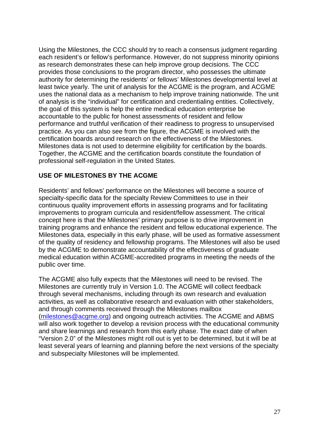Using the Milestones, the CCC should try to reach a consensus judgment regarding each resident's or fellow's performance. However, do not suppress minority opinions as research demonstrates these can help improve group decisions. The CCC provides those conclusions to the program director, who possesses the ultimate authority for determining the residents' or fellows' Milestones developmental level at least twice yearly. The unit of analysis for the ACGME is the program, and ACGME uses the national data as a mechanism to help improve training nationwide. The unit of analysis is the "individual" for certification and credentialing entities. Collectively, the goal of this system is help the entire medical education enterprise be accountable to the public for honest assessments of resident and fellow performance and truthful verification of their readiness to progress to unsupervised practice. As you can also see from the figure, the ACGME is involved with the certification boards around research on the effectiveness of the Milestones. Milestones data is not used to determine eligibility for certification by the boards. Together, the ACGME and the certification boards constitute the foundation of professional self-regulation in the United States.

# **USE OF MILESTONES BY THE ACGME**

Residents' and fellows' performance on the Milestones will become a source of specialty-specific data for the specialty Review Committees to use in their continuous quality improvement efforts in assessing programs and for facilitating improvements to program curricula and resident/fellow assessment. The critical concept here is that the Milestones' primary purpose is to drive improvement in training programs and enhance the resident and fellow educational experience. The Milestones data, especially in this early phase, will be used as formative assessment of the quality of residency and fellowship programs. The Milestones will also be used by the ACGME to demonstrate accountability of the effectiveness of graduate medical education within ACGME-accredited programs in meeting the needs of the public over time.

The ACGME also fully expects that the Milestones will need to be revised. The Milestones are currently truly in Version 1.0. The ACGME will collect feedback through several mechanisms, including through its own research and evaluation activities, as well as collaborative research and evaluation with other stakeholders, and through comments received through the Milestones mailbox [\(milestones@acgme.org\)](mailto:milestones@acgme.org) and ongoing outreach activities. The ACGME and ABMS will also work together to develop a revision process with the educational community and share learnings and research from this early phase. The exact date of when "Version 2.0" of the Milestones might roll out is yet to be determined, but it will be at least several years of learning and planning before the next versions of the specialty and subspecialty Milestones will be implemented.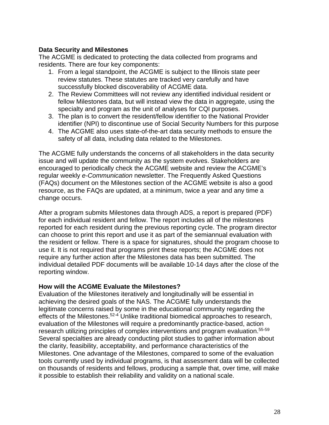## **Data Security and Milestones**

The ACGME is dedicated to protecting the data collected from programs and residents. There are four key components:

- 1. From a legal standpoint, the ACGME is subject to the Illinois state peer review statutes. These statutes are tracked very carefully and have successfully blocked discoverability of ACGME data.
- 2. The Review Committees will not review any identified individual resident or fellow Milestones data, but will instead view the data in aggregate, using the specialty and program as the unit of analyses for CQI purposes.
- 3. The plan is to convert the resident/fellow identifier to the National Provider identifier (NPI) to discontinue use of Social Security Numbers for this purpose
- 4. The ACGME also uses state-of-the-art data security methods to ensure the safety of all data, including data related to the Milestones.

The ACGME fully understands the concerns of all stakeholders in the data security issue and will update the community as the system evolves. Stakeholders are encouraged to periodically check the ACGME website and review the ACGME's regular weekly *e-Communication* newsletter. The Frequently Asked Questions (FAQs) document on the Milestones section of the ACGME website is also a good resource, as the FAQs are updated, at a minimum, twice a year and any time a change occurs.

After a program submits Milestones data through ADS, a report is prepared (PDF) for each individual resident and fellow. The report includes all of the milestones reported for each resident during the previous reporting cycle. The program director can choose to print this report and use it as part of the semiannual evaluation with the resident or fellow. There is a space for signatures, should the program choose to use it. It is not required that programs print these reports; the ACGME does not require any further action after the Milestones data has been submitted. The individual detailed PDF documents will be available 10-14 days after the close of the reporting window.

## **How will the ACGME Evaluate the Milestones?**

Evaluation of the Milestones iteratively and longitudinally will be essential in achieving the desired goals of the NAS. The ACGME fully understands the legitimate concerns raised by some in the educational community regarding the effects of the Milestones.<sup>52-4</sup> Unlike traditional biomedical approaches to research, evaluation of the Milestones will require a predominantly practice-based, action research utilizing principles of complex interventions and program evaluation.<sup>55-59</sup> Several specialties are already conducting pilot studies to gather information about the clarity, feasibility, acceptability, and performance characteristics of the Milestones. One advantage of the Milestones, compared to some of the evaluation tools currently used by individual programs, is that assessment data will be collected on thousands of residents and fellows, producing a sample that, over time, will make it possible to establish their reliability and validity on a national scale.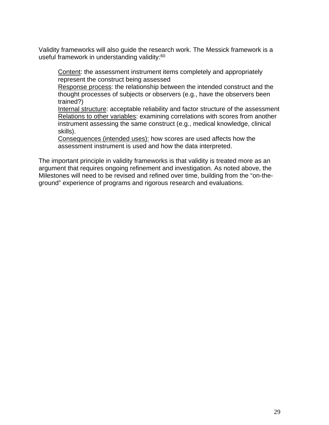Validity frameworks will also guide the research work. The Messick framework is a useful framework in understanding validity:<sup>60</sup>

Content: the assessment instrument items completely and appropriately represent the construct being assessed

Response process: the relationship between the intended construct and the thought processes of subjects or observers (e.g., have the observers been trained?)

Internal structure: acceptable reliability and factor structure of the assessment Relations to other variables: examining correlations with scores from another instrument assessing the same construct (e.g., medical knowledge, clinical skills).

Consequences (intended uses): how scores are used affects how the assessment instrument is used and how the data interpreted.

The important principle in validity frameworks is that validity is treated more as an argument that requires ongoing refinement and investigation. As noted above, the Milestones will need to be revised and refined over time, building from the "on-theground" experience of programs and rigorous research and evaluations.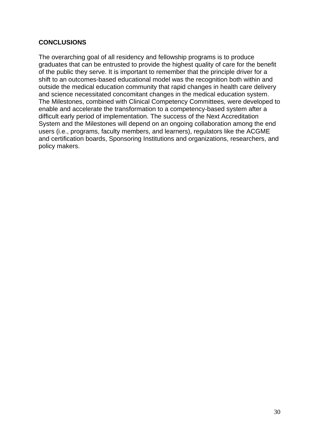## **CONCLUSIONS**

The overarching goal of all residency and fellowship programs is to produce graduates that can be entrusted to provide the highest quality of care for the benefit of the public they serve. It is important to remember that the principle driver for a shift to an outcomes-based educational model was the recognition both within and outside the medical education community that rapid changes in health care delivery and science necessitated concomitant changes in the medical education system. The Milestones, combined with Clinical Competency Committees, were developed to enable and accelerate the transformation to a competency-based system after a difficult early period of implementation. The success of the Next Accreditation System and the Milestones will depend on an ongoing collaboration among the end users (i.e., programs, faculty members, and learners), regulators like the ACGME and certification boards, Sponsoring Institutions and organizations, researchers, and policy makers.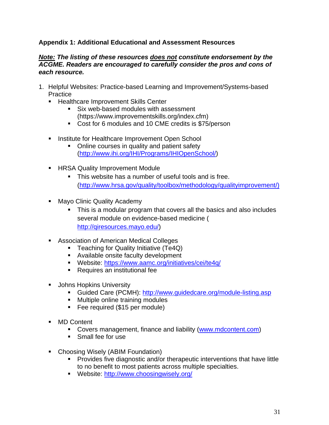# **Appendix 1: Additional Educational and Assessment Resources**

## *Note: The listing of these resources does not constitute endorsement by the ACGME. Readers are encouraged to carefully consider the pros and cons of each resource.*

- 1. Helpful Websites: Practice-based Learning and Improvement/Systems-based **Practice** 
	- **Healthcare Improvement Skills Center** 
		- Six web-based modules with assessment (https://www.improvementskills.org/index.cfm)
		- Cost for 6 modules and 10 CME credits is \$75/person
	- Institute for Healthcare Improvement Open School
		- Online courses in quality and patient safety [\(http://www.ihi.org/IHI/Programs/IHIOpenSchool/\)](http://www.ihi.org/IHI/Programs/IHIOpenSchool/)
	- **HRSA Quality Improvement Module** 
		- This website has a number of useful tools and is free. [\(http://www.hrsa.gov/quality/toolbox/methodology/qualityimprovement/\)](http://www.hrsa.gov/quality/toolbox/methodology/qualityimprovement/)
	- **Mayo Clinic Quality Academy** 
		- This is a modular program that covers all the basics and also includes several module on evidence-based medicine ( [http://qiresources.mayo.edu/\)](http://qiresources.mayo.edu/)
	- Association of American Medical Colleges
		- **Teaching for Quality Initiative (Te4Q)**
		- **Available onsite faculty development**
		- Website:<https://www.aamc.org/initiatives/cei/te4q/>
		- Requires an institutional fee
	- Johns Hopkins University
		- Guided Care (PCMH):<http://www.guidedcare.org/module-listing.asp>
		- **Multiple online training modules**
		- **Fee required (\$15 per module)**
	- **MD Content** 
		- Covers management, finance and liability [\(www.mdcontent.com\)](http://www.mdcontent.com/)
		- **Small fee for use**
	- Choosing Wisely (ABIM Foundation)
		- **Provides five diagnostic and/or therapeutic interventions that have little** to no benefit to most patients across multiple specialties.
		- Website:<http://www.choosingwisely.org/>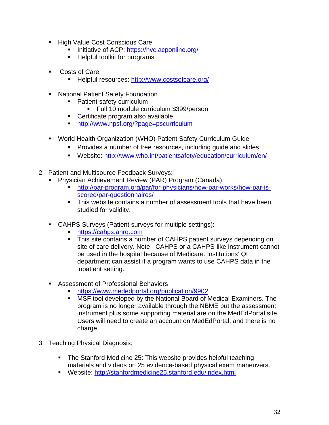- High Value Cost Conscious Care
	- Initiative of ACP:<https://hvc.acponline.org/>
	- **Helpful toolkit for programs**
- Costs of Care
	- Helpful resources:<http://www.costsofcare.org/>
- **National Patient Safety Foundation** 
	- **Patient safety curriculum** 
		- **Full 10 module curriculum \$399/person**
	- **Certificate program also available**
	- <http://www.npsf.org/?page=pscurriculum>
- World Health Organization (WHO) Patient Safety Curriculum Guide
	- **Provides a number of free resources, including quide and slides**
	- Website:<http://www.who.int/patientsafety/education/curriculum/en/>
- 2. Patient and Multisource Feedback Surveys:
	- Physician Achievement Review (PAR) Program (Canada):
		- [http://par-program.org/par/for-physicians/how-par-works/how-par-is](http://par-program.org/par/for-physicians/how-par-works/how-par-is-scored/par-questionnaires/)[scored/par-questionnaires/](http://par-program.org/par/for-physicians/how-par-works/how-par-is-scored/par-questionnaires/)
		- This website contains a number of assessment tools that have been studied for validity.
	- CAHPS Surveys (Patient surveys for multiple settings):
		- **[https://cahps.ahrq.com](https://cahps.ahrq.com/)**
		- This site contains a number of CAHPS patient surveys depending on site of care delivery. Note –CAHPS or a CAHPS-like instrument cannot be used in the hospital because of Medicare. Institutions' QI department can assist if a program wants to use CAHPS data in the inpatient setting.
	- Assessment of Professional Behaviors
		- <https://www.mededportal.org/publication/9902>
		- MSF tool developed by the National Board of Medical Examiners. The program is no longer available through the NBME but the assessment instrument plus some supporting material are on the MedEdPortal site. Users will need to create an account on MedEdPortal, and there is no charge.
- 3. Teaching Physical Diagnosis:
	- The Stanford Medicine 25: This website provides helpful teaching materials and videos on 25 evidence-based physical exam maneuvers.
	- Website:<http://stanfordmedicine25.stanford.edu/index.html>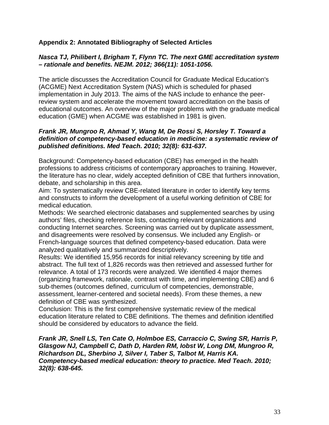## **Appendix 2: Annotated Bibliography of Selected Articles**

## *Nasca TJ, Philibert I, Brigham T, Flynn TC. The next GME accreditation system – rationale and benefits. NEJM. 2012; 366(11): 1051-1056.*

The article discusses the Accreditation Council for Graduate Medical Education's (ACGME) Next Accreditation System (NAS) which is scheduled for phased implementation in July 2013. The aims of the NAS include to enhance the peerreview system and accelerate the movement toward accreditation on the basis of educational outcomes. An overview of the major problems with the graduate medical education (GME) when ACGME was established in 1981 is given.

### *Frank JR, Mungroo R, Ahmad Y, Wang M, De Rossi S, Horsley T. Toward a definition of competency-based education in medicine: a systematic review of published definitions. Med Teach. 2010; 32(8): 631-637.*

Background: Competency-based education (CBE) has emerged in the health professions to address criticisms of contemporary approaches to training. However, the literature has no clear, widely accepted definition of CBE that furthers innovation, debate, and scholarship in this area.

Aim: To systematically review CBE-related literature in order to identify key terms and constructs to inform the development of a useful working definition of CBE for medical education.

Methods: We searched electronic databases and supplemented searches by using authors' files, checking reference lists, contacting relevant organizations and conducting Internet searches. Screening was carried out by duplicate assessment, and disagreements were resolved by consensus. We included any English- or French-language sources that defined competency-based education. Data were analyzed qualitatively and summarized descriptively.

Results: We identified 15,956 records for initial relevancy screening by title and abstract. The full text of 1,826 records was then retrieved and assessed further for relevance. A total of 173 records were analyzed. We identified 4 major themes (organizing framework, rationale, contrast with time, and implementing CBE) and 6 sub-themes (outcomes defined, curriculum of competencies, demonstrable, assessment, learner-centered and societal needs). From these themes, a new definition of CBE was synthesized.

Conclusion: This is the first comprehensive systematic review of the medical education literature related to CBE definitions. The themes and definition identified should be considered by educators to advance the field.

*Frank JR, Snell LS, Ten Cate O, Holmboe ES, Carraccio C, Swing SR, Harris P, Glasgow NJ, Campbell C, Dath D, Harden RM, Iobst W, Long DM, Mungroo R, Richardson DL, Sherbino J, Silver I, Taber S, Talbot M, Harris KA. Competency-based medical education: theory to practice. Med Teach. 2010; 32(8): 638-645.*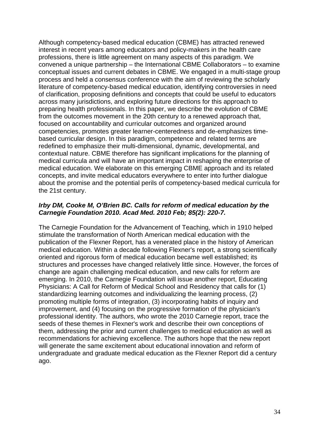Although competency-based medical education (CBME) has attracted renewed interest in recent years among educators and policy-makers in the health care professions, there is little agreement on many aspects of this paradigm. We convened a unique partnership – the International CBME Collaborators – to examine conceptual issues and current debates in CBME. We engaged in a multi-stage group process and held a consensus conference with the aim of reviewing the scholarly literature of competency-based medical education, identifying controversies in need of clarification, proposing definitions and concepts that could be useful to educators across many jurisdictions, and exploring future directions for this approach to preparing health professionals. In this paper, we describe the evolution of CBME from the outcomes movement in the 20th century to a renewed approach that, focused on accountability and curricular outcomes and organized around competencies, promotes greater learner-centeredness and de-emphasizes timebased curricular design. In this paradigm, competence and related terms are redefined to emphasize their multi-dimensional, dynamic, developmental, and contextual nature. CBME therefore has significant implications for the planning of medical curricula and will have an important impact in reshaping the enterprise of medical education. We elaborate on this emerging CBME approach and its related concepts, and invite medical educators everywhere to enter into further dialogue about the promise and the potential perils of competency-based medical curricula for the 21st century.

## *Irby DM, Cooke M, O'Brien BC. Calls for reform of medical education by the Carnegie Foundation 2010. Acad Med. 2010 Feb; 85(2): 220-7.*

The Carnegie Foundation for the Advancement of Teaching, which in 1910 helped stimulate the transformation of North American medical education with the publication of the Flexner Report, has a venerated place in the history of American medical education. Within a decade following Flexner's report, a strong scientifically oriented and rigorous form of medical education became well established; its structures and processes have changed relatively little since. However, the forces of change are again challenging medical education, and new calls for reform are emerging. In 2010, the Carnegie Foundation will issue another report, Educating Physicians: A Call for Reform of Medical School and Residency that calls for (1) standardizing learning outcomes and individualizing the learning process, (2) promoting multiple forms of integration, (3) incorporating habits of inquiry and improvement, and (4) focusing on the progressive formation of the physician's professional identity. The authors, who wrote the 2010 Carnegie report, trace the seeds of these themes in Flexner's work and describe their own conceptions of them, addressing the prior and current challenges to medical education as well as recommendations for achieving excellence. The authors hope that the new report will generate the same excitement about educational innovation and reform of undergraduate and graduate medical education as the Flexner Report did a century ago.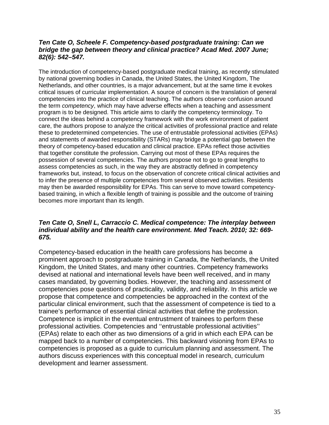## *Ten Cate O, Scheele F. Competency-based postgraduate training: Can we bridge the gap between theory and clinical practice? Acad Med. 2007 June; 82(6): 542–547.*

The introduction of competency-based postgraduate medical training, as recently stimulated by national governing bodies in Canada, the United States, the United Kingdom, The Netherlands, and other countries, is a major advancement, but at the same time it evokes critical issues of curricular implementation. A source of concern is the translation of general competencies into the practice of clinical teaching. The authors observe confusion around the term *competency*, which may have adverse effects when a teaching and assessment program is to be designed. This article aims to clarify the competency terminology. To connect the ideas behind a competency framework with the work environment of patient care, the authors propose to analyze the critical activities of professional practice and relate these to predetermined competencies. The use of entrustable professional activities (EPAs) and statements of awarded responsibility (STARs) may bridge a potential gap between the theory of competency-based education and clinical practice. EPAs reflect those activities that together constitute the profession. Carrying out most of these EPAs requires the possession of several competencies. The authors propose not to go to great lengths to assess competencies as such, in the way they are abstractly defined in competency frameworks but, instead, to focus on the observation of concrete critical clinical activities and to infer the presence of multiple competencies from several observed activities. Residents may then be awarded responsibility for EPAs. This can serve to move toward competencybased training, in which a flexible length of training is possible and the outcome of training becomes more important than its length.

## *Ten Cate O, Snell L, Carraccio C. Medical competence: The interplay between individual ability and the health care environment. Med Teach. 2010; 32: 669- 675.*

Competency-based education in the health care professions has become a prominent approach to postgraduate training in Canada, the Netherlands, the United Kingdom, the United States, and many other countries. Competency frameworks devised at national and international levels have been well received, and in many cases mandated, by governing bodies. However, the teaching and assessment of competencies pose questions of practicality, validity, and reliability. In this article we propose that competence and competencies be approached in the context of the particular clinical environment, such that the assessment of competence is tied to a trainee's performance of essential clinical activities that define the profession. Competence is implicit in the eventual entrustment of trainees to perform these professional activities. Competencies and ''entrustable professional activities'' (EPAs) relate to each other as two dimensions of a grid in which each EPA can be mapped back to a number of competencies. This backward visioning from EPAs to competencies is proposed as a guide to curriculum planning and assessment. The authors discuss experiences with this conceptual model in research, curriculum development and learner assessment.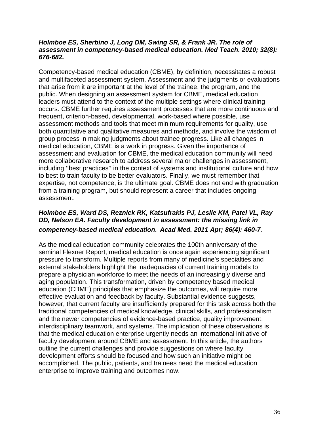## *Holmboe ES, Sherbino J, Long DM, Swing SR, & Frank JR. The role of assessment in competency-based medical education. Med Teach. 2010; 32(8): 676-682.*

Competency-based medical education (CBME), by definition, necessitates a robust and multifaceted assessment system. Assessment and the judgments or evaluations that arise from it are important at the level of the trainee, the program, and the public. When designing an assessment system for CBME, medical education leaders must attend to the context of the multiple settings where clinical training occurs. CBME further requires assessment processes that are more continuous and frequent, criterion-based, developmental, work-based where possible, use assessment methods and tools that meet minimum requirements for quality, use both quantitative and qualitative measures and methods, and involve the wisdom of group process in making judgments about trainee progress. Like all changes in medical education, CBME is a work in progress. Given the importance of assessment and evaluation for CBME, the medical education community will need more collaborative research to address several major challenges in assessment, including ''best practices'' in the context of systems and institutional culture and how to best to train faculty to be better evaluators. Finally, we must remember that expertise, not competence, is the ultimate goal. CBME does not end with graduation from a training program, but should represent a career that includes ongoing assessment.

# *Holmboe ES, Ward DS, Reznick RK, Katsufrakis PJ, Leslie KM, Patel VL, Ray DD, Nelson EA. [Faculty development in assessment: the missing link in](http://web.ebscohost.com/ehost/viewarticle?data=dGJyMPPp44rp2%2fdV0%2bnjisfk5Ie46bNNsaa1Srak63nn5Kx95uXxjL6nsEevqq1KrqewOLGwsFC4q7A4zsOkjPDX7Ivf2fKB7eTnfLujs0u2p7FIsK20PurX7H%2b72%2bw%2b4ti7e%2bvb4oWk6t9%2fu7fMPt%2fku0qvqbJOs6a3PuTl8IXf6rt%2b8%2bLqjOPu8gAA&hid=126)  [competency-based medical education](http://web.ebscohost.com/ehost/viewarticle?data=dGJyMPPp44rp2%2fdV0%2bnjisfk5Ie46bNNsaa1Srak63nn5Kx95uXxjL6nsEevqq1KrqewOLGwsFC4q7A4zsOkjPDX7Ivf2fKB7eTnfLujs0u2p7FIsK20PurX7H%2b72%2bw%2b4ti7e%2bvb4oWk6t9%2fu7fMPt%2fku0qvqbJOs6a3PuTl8IXf6rt%2b8%2bLqjOPu8gAA&hid=126). Acad Med. 2011 Apr; 86(4): 460-7.*

As the medical education community celebrates the 100th anniversary of the seminal Flexner Report, medical education is once again experiencing significant pressure to transform. Multiple reports from many of medicine's specialties and external stakeholders highlight the inadequacies of current training models to prepare a physician workforce to meet the needs of an increasingly diverse and aging population. This transformation, driven by competency based medical education (CBME) principles that emphasize the outcomes, will require more effective evaluation and feedback by faculty. Substantial evidence suggests, however, that current faculty are insufficiently prepared for this task across both the traditional competencies of medical knowledge, clinical skills, and professionalism and the newer competencies of evidence-based practice, quality improvement, interdisciplinary teamwork, and systems. The implication of these observations is that the medical education enterprise urgently needs an international initiative of faculty development around CBME and assessment. In this article, the authors outline the current challenges and provide suggestions on where faculty development efforts should be focused and how such an initiative might be accomplished. The public, patients, and trainees need the medical education enterprise to improve training and outcomes now.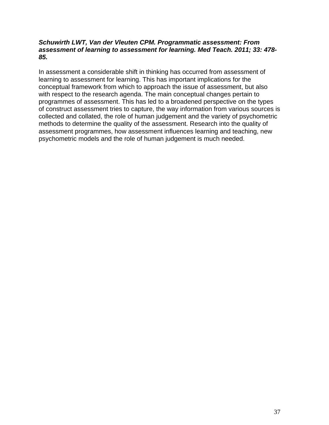## *Schuwirth LWT, Van der Vleuten CPM. Programmatic assessment: From assessment of learning to assessment for learning. Med Teach. 2011; 33: 478- 85.*

In assessment a considerable shift in thinking has occurred from assessment of learning to assessment for learning. This has important implications for the conceptual framework from which to approach the issue of assessment, but also with respect to the research agenda. The main conceptual changes pertain to programmes of assessment. This has led to a broadened perspective on the types of construct assessment tries to capture, the way information from various sources is collected and collated, the role of human judgement and the variety of psychometric methods to determine the quality of the assessment. Research into the quality of assessment programmes, how assessment influences learning and teaching, new psychometric models and the role of human judgement is much needed.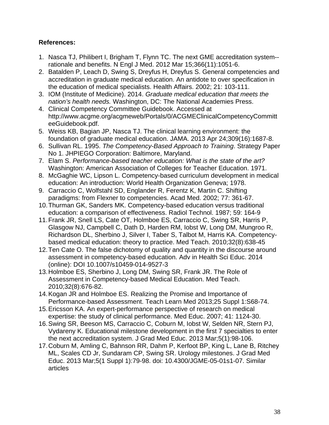# **References:**

- 1. Nasca TJ, Philibert I, Brigham T, Flynn TC. The next GME accreditation system- rationale and benefits. N Engl J Med. 2012 Mar 15;366(11):1051-6.
- 2. Batalden P, Leach D, Swing S, Dreyfus H, Dreyfus S. General competencies and accreditation in graduate medical education. An antidote to over specification in the education of medical specialists. Health Affairs. 2002; 21: 103-111.
- 3. IOM (Institute of Medicine). 2014. *Graduate medical education that meets the nation's health needs.* Washington, DC: The National Academies Press.
- 4. Clinical Competency Committee Guidebook. Accessed at http://www.acgme.org/acgmeweb/Portals/0/ACGMEClinicalCompetencyCommitt eeGuidebook.pdf.
- 5. Weiss KB, Bagian JP, Nasca TJ. [The clinical learning environment: the](http://www.ncbi.nlm.nih.gov/pubmed/23613072)  [foundation of graduate medical education.](http://www.ncbi.nlm.nih.gov/pubmed/23613072) JAMA. 2013 Apr 24;309(16):1687-8.
- 6. Sullivan RL. 1995. *The Competency-Based Approach to Training*. Strategy Paper No 1. JHPIEGO Corporation: Baltimore, Maryland.
- 7. Elam S. *Performance-based teacher education: What is the state of the art?* Washington: American Association of Colleges for Teacher Education. 1971.
- 8. McGaghie WC, Lipson L. Competency-based curriculum development in medical education: An introduction: World Health Organization Geneva; 1978.
- 9. Carraccio C, Wolfstahl SD, Englander R, Ferentz K, Martin C. Shifting paradigms: from Flexner to competencies. Acad Med. 2002; 77: 361-67.
- 10.Thurman GK, Sanders MK. Competency-based education versus traditional education: a comparison of effectiveness. Radiol Technol. 1987; 59: 164-9
- 11.Frank JR, Snell LS, Cate OT, Holmboe ES, Carraccio C, Swing SR, Harris P, Glasgow NJ, Campbell C, Dath D, Harden RM, Iobst W, Long DM, Mungroo R, Richardson DL, Sherbino J, Silver I, Taber S, Talbot M, Harris KA. [Competency](http://www.ncbi.nlm.nih.gov/pubmed/20662574)[based medical education: theory to practice.](http://www.ncbi.nlm.nih.gov/pubmed/20662574) Med Teach. 2010;32(8):638-45
- 12.Ten Cate O. The false dichotomy of quality and quantity in the discourse around assessment in competency-based education. Adv in Health Sci Educ. 2014 (online): DOI 10.1007/s10459-014-9527-3
- 13.Holmboe ES, Sherbino J, Long DM, Swing SR, Frank JR. The Role of Assessment in Competency-based Medical Education. Med Teach. 2010;32(8):676-82.
- 14.Kogan JR and Holmboe ES. Realizing the Promise and Importance of Performance-based Assessment. Teach Learn Med 2013;25 Suppl 1:S68-74.
- 15.Ericsson KA. An expert-performance perspective of research on medical expertise: the study of clinical performance. Med Educ. 2007; 41: 1124-30.
- 16.Swing SR, Beeson MS, Carraccio C, Coburn M, Iobst W, Selden NR, Stern PJ, Vydareny K. [Educational milestone development in the first 7 specialties to enter](http://www.ncbi.nlm.nih.gov/pubmed/24404235)  [the next accreditation system.](http://www.ncbi.nlm.nih.gov/pubmed/24404235) J Grad Med Educ. 2013 Mar;5(1):98-106.
- 17.Coburn M, Amling C, Bahnson RR, Dahm P, Kerfoot BP, King L, Lane B, Ritchey ML, Scales CD Jr, Sundaram CP, Swing SR. [Urology milestones.](http://www.ncbi.nlm.nih.gov/pubmed/24404216) J Grad Med Educ. 2013 Mar;5(1 Suppl 1):79-98. doi: 10.4300/JGME-05-01s1-07. [Similar](http://www.ncbi.nlm.nih.gov/pubmed?linkname=pubmed_pubmed&from_uid=24404216)  [articles](http://www.ncbi.nlm.nih.gov/pubmed?linkname=pubmed_pubmed&from_uid=24404216)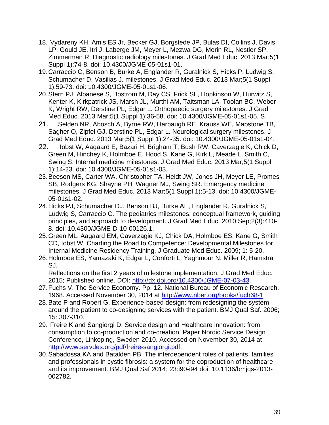- 18. Vydareny KH, Amis ES Jr, Becker GJ, Borgstede JP, Bulas DI, Collins J, Davis LP, Gould JE, Itri J, Laberge JM, Meyer L, Mezwa DG, Morin RL, Nestler SP, Zimmerman R. [Diagnostic radiology milestones.](http://www.ncbi.nlm.nih.gov/pubmed/24404215) J Grad Med Educ. 2013 Mar;5(1 Suppl 1):74-8. doi: 10.4300/JGME-05-01s1-01.
- 19.Carraccio C, Benson B, Burke A, Englander R, Guralnick S, Hicks P, Ludwig S, Schumacher D, Vasilias J. milestones. J Grad Med Educ. 2013 Mar;5(1 Suppl 1):59-73. doi: 10.4300/JGME-05-01s1-06.
- 20.Stern PJ, Albanese S, Bostrom M, Day CS, Frick SL, Hopkinson W, Hurwitz S, Kenter K, Kirkpatrick JS, Marsh JL, Murthi AM, Taitsman LA, Toolan BC, Weber K, Wright RW, Derstine PL, Edgar L. [Orthopaedic surgery milestones.](http://www.ncbi.nlm.nih.gov/pubmed/24404213) J Grad Med Educ. 2013 Mar;5(1 Suppl 1):36-58. doi: 10.4300/JGME-05-01s1-05. S
- 21. Selden NR, Abosch A, Byrne RW, Harbaugh RE, Krauss WE, Mapstone TB, Sagher O, Zipfel GJ, Derstine PL, Edgar L. [Neurological surgery milestones.](http://www.ncbi.nlm.nih.gov/pubmed/24404212) J Grad Med Educ. 2013 Mar;5(1 Suppl 1):24-35. doi: 10.4300/JGME-05-01s1-04.
- 22. Iobst W, Aagaard E, Bazari H, Brigham T, Bush RW, Caverzagie K, Chick D, Green M, Hinchey K, Holmboe E, Hood S, Kane G, Kirk L, Meade L, Smith C, Swing S. [Internal medicine milestones.](http://www.ncbi.nlm.nih.gov/pubmed/24404211) J Grad Med Educ. 2013 Mar;5(1 Suppl 1):14-23. doi: 10.4300/JGME-05-01s1-03.
- 23.Beeson MS, Carter WA, Christopher TA, Heidt JW, Jones JH, Meyer LE, Promes SB, Rodgers KG, Shayne PH, Wagner MJ, Swing SR. [Emergency medicine](http://www.ncbi.nlm.nih.gov/pubmed/24404210)  [milestones.](http://www.ncbi.nlm.nih.gov/pubmed/24404210) J Grad Med Educ. 2013 Mar;5(1 Suppl 1):5-13. doi: 10.4300/JGME-05-01s1-02.
- 24.Hicks PJ, Schumacher DJ, Benson BJ, Burke AE, Englander R, Guralnick S, Ludwig S, Carraccio C. [The pediatrics milestones: conceptual framework, guiding](http://www.ncbi.nlm.nih.gov/pubmed/21976091)  [principles, and approach to development.](http://www.ncbi.nlm.nih.gov/pubmed/21976091) J Grad Med Educ. 2010 Sep;2(3):410- 8. doi: 10.4300/JGME-D-10-00126.1.
- 25.Green ML, Aagaard EM, Caverzagie KJ, Chick DA, Holmboe ES, Kane G, Smith CD, Iobst W. Charting the Road to Competence: Developmental Milestones for Internal Medicine Residency Training. J Graduate Med Educ. 2009; 1: 5-20.
- 26.Holmboe ES, Yamazaki K, Edgar L, Conforti L, Yaghmour N, Miller R, Hamstra SJ.

Reflections on the first 2 years of milestone implementation. J Grad Med Educ. 2015; Published online. DOI: [http://dx.doi.org/10.4300/JGME-07-03-43.](http://dx.doi.org/10.4300/JGME-07-03-43)

- 27.Fuchs V. The Service Economy. Pp. 12. National Bureau of Economic Research. 1968. Accessed November 30, 2014 at<http://www.nber.org/books/fuch68-1>
- 28.Bate P and Robert G. Experience-based design: from redesigning the system around the patient to co-designing services with the patient. BMJ Qual Saf. 2006; 15: 307-310.
- 29. Freire K and Sangiorgi D. Service design and Healthcare innovation: from consumption to co-production and co-creation. Paper Nordic Service Design Conference, Linkoping, Sweden 2010. Accessed on November 30, 2014 at [http://www.servdes.org/pdf/freire-sangiorgi.pdf.](http://www.servdes.org/pdf/freire-sangiorgi.pdf)
- 30.Sabadossa KA and Batalden PB. The interdependent roles of patients, families and professionals in cystic fibrosis: a system for the coproduction of healthcare and its improvement. BMJ Qual Saf 2014; 23:i90-i94 doi: 10.1136/bmjqs-2013- 002782.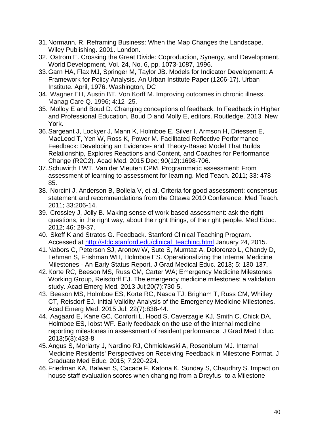- 31.Normann, R. Reframing Business: When the Map Changes the Landscape. Wiley Publishing. 2001. London.
- 32. Ostrom E. Crossing the Great Divide: Coproduction, Synergy, and Development. World Development, Vol. 24, No. 6, pp. 1073-1087, 1996.
- 33.Garn HA, Flax MJ, Springer M, Taylor JB. Models for Indicator Development: A Framework for Policy Analysis. An Urban Institute Paper (1206-17). Urban Institute. April, 1976. Washington, DC
- 34. Wagner EH, Austin BT, Von Korff M. Improving outcomes in chronic illness. Manag Care Q. 1996; 4:12–25.
- 35. Molloy E and Boud D. Changing conceptions of feedback. In Feedback in Higher and Professional Education. Boud D and Molly E, editors. Routledge. 2013. New York.
- 36.Sargeant J, Lockyer J, Mann K, Holmboe E, Silver I, Armson H, Driessen E, MacLeod T, Yen W, Ross K, Power M. [Facilitated Reflective Performance](http://www.ncbi.nlm.nih.gov/pubmed/26200584)  Feedback: Developing an Evidence- [and Theory-Based Model That Builds](http://www.ncbi.nlm.nih.gov/pubmed/26200584)  [Relationship, Explores Reactions and Content, and Coaches for Performance](http://www.ncbi.nlm.nih.gov/pubmed/26200584)  [Change \(R2C2\).](http://www.ncbi.nlm.nih.gov/pubmed/26200584) Acad Med. 2015 Dec; 90(12):1698-706.
- 37.Schuwirth LWT, Van der Vleuten CPM. Programmatic assessment: From assessment of learning to assessment for learning. Med Teach. 2011; 33: 478- 85.
- 38. Norcini J, Anderson B, Bollela V, et al. Criteria for good assessment: consensus statement and recommendations from the Ottawa 2010 Conference. Med Teach. 2011; 33:206-14.
- 39. Crossley J, Jolly B. Making sense of work-based assessment: ask the right questions, in the right way, about the right things, of the right people. Med Educ. 2012; 46: 28-37.
- 40. Skeff K and Stratos G. Feedback. Stanford Clinical Teaching Program. Accessed at [http://sfdc.stanford.edu/clinical\\_teaching.html](http://sfdc.stanford.edu/clinical_teaching.html) January 24, 2015.
- 41.Nabors C, Peterson SJ, Aronow W, Sute S, Mumtaz A, Delorenzo L, Chandy D, Lehman S, Frishman WH, Holmboe ES. Operationalizing the Internal Medicine Milestones - An Early Status Report. J Grad Medical Educ. 2013; 5: 130-137.
- 42.Korte RC, Beeson MS, Russ CM, Carter WA; Emergency Medicine Milestones Working Group, Reisdorff EJ. [The emergency medicine milestones: a validation](http://www.ncbi.nlm.nih.gov/pubmed/23859587)  [study.](http://www.ncbi.nlm.nih.gov/pubmed/23859587) Acad Emerg Med. 2013 Jul;20(7):730-5.
- 43. Beeson MS, Holmboe ES, Korte RC, Nasca TJ, Brigham T, Russ CM, Whitley CT, Reisdorf EJ. Initial Validity Analysis of the Emergency Medicine Milestones. Acad Emerg Med. 2015 Jul; 22(7):838-44.
- 44. Aagaard E, Kane GC, Conforti L, Hood S, Caverzagie KJ, Smith C, Chick DA, Holmboe ES, Iobst WF. [Early feedback on the use of the internal medicine](http://www.ncbi.nlm.nih.gov/pubmed/24404307)  [reporting milestones in assessment of resident performance.](http://www.ncbi.nlm.nih.gov/pubmed/24404307) J Grad Med Educ. 2013;5(3):433-8
- 45.Angus S, Moriarty J, Nardino RJ, Chmielewski A, Rosenblum MJ. Internal Medicine Residents' Perspectives on Receiving Feedback in Milestone Format. J Graduate Med Educ. 2015; 7:220-224.
- 46.Friedman KA, Balwan S, Cacace F, Katona K, Sunday S, Chaudhry S. Impact on house staff evaluation scores when changing from a Dreyfus- to a Milestone-